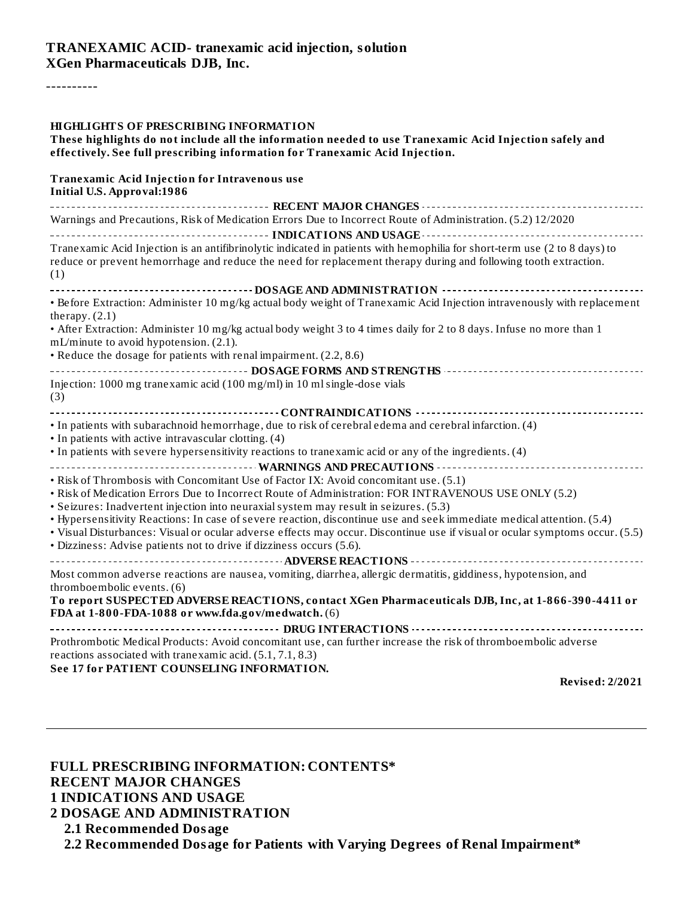#### **TRANEXAMIC ACID- tranexamic acid injection, solution XGen Pharmaceuticals DJB, Inc.**

----------

| HIGHLIGHTS OF PRESCRIBING INFORMATION<br>These highlights do not include all the information needed to use Tranexamic Acid Injection safely and<br>effectively. See full prescribing information for Tranexamic Acid Injection.                      |  |  |  |  |  |
|------------------------------------------------------------------------------------------------------------------------------------------------------------------------------------------------------------------------------------------------------|--|--|--|--|--|
| <b>Tranexamic Acid Injection for Intravenous use</b><br><b>Initial U.S. Approval:1986</b>                                                                                                                                                            |  |  |  |  |  |
|                                                                                                                                                                                                                                                      |  |  |  |  |  |
| Warnings and Precautions, Risk of Medication Errors Due to Incorrect Route of Administration. (5.2) 12/2020                                                                                                                                          |  |  |  |  |  |
|                                                                                                                                                                                                                                                      |  |  |  |  |  |
| Tranexamic Acid Injection is an antifibrinolytic indicated in patients with hemophilia for short-term use (2 to 8 days) to<br>reduce or prevent hemorrhage and reduce the need for replacement therapy during and following tooth extraction.<br>(1) |  |  |  |  |  |
|                                                                                                                                                                                                                                                      |  |  |  |  |  |
| • Before Extraction: Administer 10 mg/kg actual body weight of Tranexamic Acid Injection intravenously with replacement<br>therapy. $(2.1)$                                                                                                          |  |  |  |  |  |
| • After Extraction: Administer 10 mg/kg actual body weight 3 to 4 times daily for 2 to 8 days. Infuse no more than 1<br>mL/minute to avoid hypotension. (2.1).                                                                                       |  |  |  |  |  |
| • Reduce the dosage for patients with renal impairment. (2.2, 8.6)                                                                                                                                                                                   |  |  |  |  |  |
| ------------------------------------- DOSAGE FORMS AND STRENGTHS ----------------------------------                                                                                                                                                  |  |  |  |  |  |
| Injection: 1000 mg tranexamic acid (100 mg/ml) in 10 ml single-dose vials<br>(3)                                                                                                                                                                     |  |  |  |  |  |
|                                                                                                                                                                                                                                                      |  |  |  |  |  |
| · In patients with subarachnoid hemorrhage, due to risk of cerebral edema and cerebral infarction. (4)<br>• In patients with active intravascular clotting. (4)                                                                                      |  |  |  |  |  |
| In patients with severe hypersensitivity reactions to tranexamic acid or any of the ingredients. (4)                                                                                                                                                 |  |  |  |  |  |
|                                                                                                                                                                                                                                                      |  |  |  |  |  |
| • Risk of Thrombosis with Concomitant Use of Factor IX: Avoid concomitant use. (5.1)<br>. Risk of Medication Errors Due to Incorrect Route of Administration: FOR INTRAVENOUS USE ONLY (5.2)                                                         |  |  |  |  |  |
| • Seizures: Inadvertent injection into neuraxial system may result in seizures. (5.3)                                                                                                                                                                |  |  |  |  |  |
| • Hypersensitivity Reactions: In case of severe reaction, discontinue use and seek immediate medical attention. (5.4)                                                                                                                                |  |  |  |  |  |
| · Visual Disturbances: Visual or ocular adverse effects may occur. Discontinue use if visual or ocular symptoms occur. (5.5)<br>· Dizziness: Advise patients not to drive if dizziness occurs (5.6).                                                 |  |  |  |  |  |
|                                                                                                                                                                                                                                                      |  |  |  |  |  |
| Most common adverse reactions are nausea, vomiting, diarrhea, allergic dermatitis, giddiness, hypotension, and<br>thromboembolic events. (6)                                                                                                         |  |  |  |  |  |
| To report SUSPECTED ADVERSE REACTIONS, contact XGen Pharmaceuticals DJB, Inc, at 1-866-390-4411 or<br>FDA at 1-800-FDA-1088 or www.fda.gov/medwatch. (6)                                                                                             |  |  |  |  |  |
|                                                                                                                                                                                                                                                      |  |  |  |  |  |
| Prothrombotic Medical Products: Avoid concomitant use, can further increase the risk of thromboembolic adverse<br>reactions associated with tranexamic acid. (5.1, 7.1, 8.3)                                                                         |  |  |  |  |  |
| See 17 for PATIENT COUNSELING INFORMATION.                                                                                                                                                                                                           |  |  |  |  |  |
| <b>Revised: 2/2021</b>                                                                                                                                                                                                                               |  |  |  |  |  |

**FULL PRESCRIBING INFORMATION: CONTENTS\* RECENT MAJOR CHANGES 1 INDICATIONS AND USAGE 2 DOSAGE AND ADMINISTRATION 2.1 Recommended Dosage 2.2 Recommended Dosage for Patients with Varying Degrees of Renal Impairment\***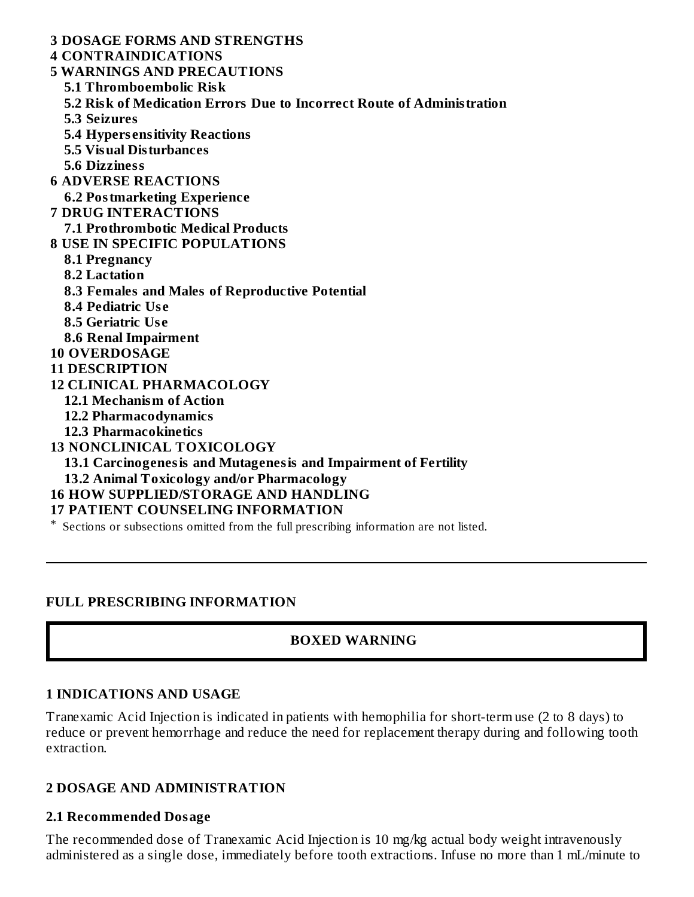**3 DOSAGE FORMS AND STRENGTHS 4 CONTRAINDICATIONS 5 WARNINGS AND PRECAUTIONS 5.1 Thromboembolic Risk 5.2 Risk of Medication Errors Due to Incorrect Route of Administration 5.3 Seizures 5.4 Hypers ensitivity Reactions 5.5 Visual Disturbances 5.6 Dizziness 6 ADVERSE REACTIONS 6.2 Postmarketing Experience 7 DRUG INTERACTIONS 7.1 Prothrombotic Medical Products 8 USE IN SPECIFIC POPULATIONS 8.1 Pregnancy 8.2 Lactation 8.3 Females and Males of Reproductive Potential 8.4 Pediatric Us e 8.5 Geriatric Us e 8.6 Renal Impairment 10 OVERDOSAGE 11 DESCRIPTION 12 CLINICAL PHARMACOLOGY 12.1 Mechanism of Action 12.2 Pharmacodynamics 12.3 Pharmacokinetics 13 NONCLINICAL TOXICOLOGY 13.1 Carcinogenesis and Mutagenesis and Impairment of Fertility 13.2 Animal Toxicology and/or Pharmacology 16 HOW SUPPLIED/STORAGE AND HANDLING 17 PATIENT COUNSELING INFORMATION** \* Sections or subsections omitted from the full prescribing information are not listed.

#### **FULL PRESCRIBING INFORMATION**

# **BOXED WARNING**

#### **1 INDICATIONS AND USAGE**

Tranexamic Acid Injection is indicated in patients with hemophilia for short-term use (2 to 8 days) to reduce or prevent hemorrhage and reduce the need for replacement therapy during and following tooth extraction.

#### **2 DOSAGE AND ADMINISTRATION**

#### **2.1 Recommended Dosage**

The recommended dose of Tranexamic Acid Injection is 10 mg/kg actual body weight intravenously administered as a single dose, immediately before tooth extractions. Infuse no more than 1 mL/minute to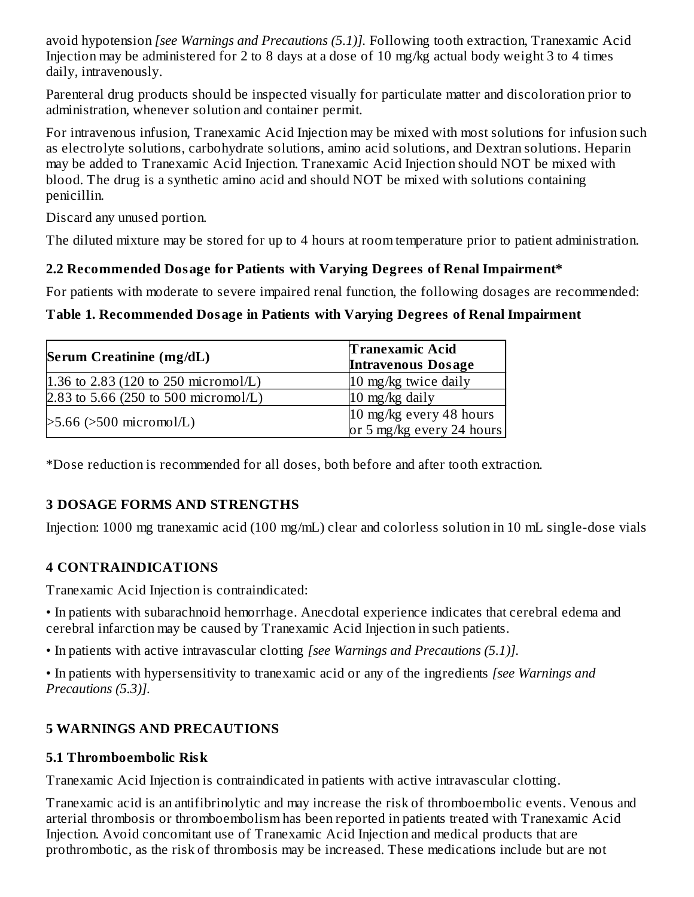avoid hypotension *[see Warnings and Precautions (5.1)].* Following tooth extraction, Tranexamic Acid Injection may be administered for 2 to 8 days at a dose of 10 mg/kg actual body weight 3 to 4 times daily, intravenously.

Parenteral drug products should be inspected visually for particulate matter and discoloration prior to administration, whenever solution and container permit.

For intravenous infusion, Tranexamic Acid Injection may be mixed with most solutions for infusion such as electrolyte solutions, carbohydrate solutions, amino acid solutions, and Dextran solutions. Heparin may be added to Tranexamic Acid Injection. Tranexamic Acid Injection should NOT be mixed with blood. The drug is a synthetic amino acid and should NOT be mixed with solutions containing penicillin.

Discard any unused portion.

The diluted mixture may be stored for up to 4 hours at room temperature prior to patient administration.

# **2.2 Recommended Dosage for Patients with Varying Degrees of Renal Impairment\***

For patients with moderate to severe impaired renal function, the following dosages are recommended:

# **Table 1. Recommended Dosage in Patients with Varying Degrees of Renal Impairment**

| Serum Creatinine (mg/dL)             | <b>Tranexamic Acid</b><br><b>Intravenous Dosage</b>  |
|--------------------------------------|------------------------------------------------------|
| 1.36 to 2.83 (120 to 250 micromol/L) | 10 mg/kg twice daily                                 |
| 2.83 to 5.66 (250 to 500 micromol/L) | $10 \text{ mg/kg}$ daily                             |
| $>5.66$ ( $>500$ micromol/L)         | 10 mg/kg every 48 hours<br>or 5 mg/kg every 24 hours |

\*Dose reduction is recommended for all doses, both before and after tooth extraction.

# **3 DOSAGE FORMS AND STRENGTHS**

Injection: 1000 mg tranexamic acid (100 mg/mL) clear and colorless solution in 10 mL single-dose vials

# **4 CONTRAINDICATIONS**

Tranexamic Acid Injection is contraindicated:

• In patients with subarachnoid hemorrhage. Anecdotal experience indicates that cerebral edema and cerebral infarction may be caused by Tranexamic Acid Injection in such patients.

• In patients with active intravascular clotting *[see Warnings and Precautions (5.1)].*

• In patients with hypersensitivity to tranexamic acid or any of the ingredients *[see Warnings and Precautions (5.3)].*

# **5 WARNINGS AND PRECAUTIONS**

# **5.1 Thromboembolic Risk**

Tranexamic Acid Injection is contraindicated in patients with active intravascular clotting.

Tranexamic acid is an antifibrinolytic and may increase the risk of thromboembolic events. Venous and arterial thrombosis or thromboembolism has been reported in patients treated with Tranexamic Acid Injection. Avoid concomitant use of Tranexamic Acid Injection and medical products that are prothrombotic, as the risk of thrombosis may be increased. These medications include but are not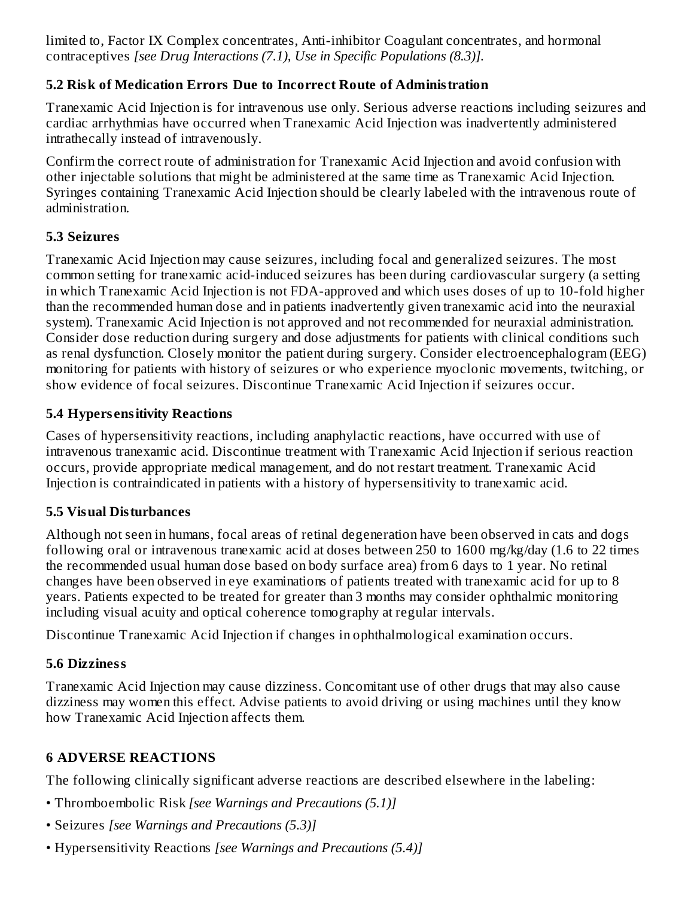limited to, Factor IX Complex concentrates, Anti-inhibitor Coagulant concentrates, and hormonal contraceptives *[see Drug Interactions (7.1), Use in Specific Populations (8.3)].*

# **5.2 Risk of Medication Errors Due to Incorrect Route of Administration**

Tranexamic Acid Injection is for intravenous use only. Serious adverse reactions including seizures and cardiac arrhythmias have occurred when Tranexamic Acid Injection was inadvertently administered intrathecally instead of intravenously.

Confirm the correct route of administration for Tranexamic Acid Injection and avoid confusion with other injectable solutions that might be administered at the same time as Tranexamic Acid Injection. Syringes containing Tranexamic Acid Injection should be clearly labeled with the intravenous route of administration.

# **5.3 Seizures**

Tranexamic Acid Injection may cause seizures, including focal and generalized seizures. The most common setting for tranexamic acid-induced seizures has been during cardiovascular surgery (a setting in which Tranexamic Acid Injection is not FDA-approved and which uses doses of up to 10-fold higher than the recommended human dose and in patients inadvertently given tranexamic acid into the neuraxial system). Tranexamic Acid Injection is not approved and not recommended for neuraxial administration. Consider dose reduction during surgery and dose adjustments for patients with clinical conditions such as renal dysfunction. Closely monitor the patient during surgery. Consider electroencephalogram (EEG) monitoring for patients with history of seizures or who experience myoclonic movements, twitching, or show evidence of focal seizures. Discontinue Tranexamic Acid Injection if seizures occur.

# **5.4 Hypers ensitivity Reactions**

Cases of hypersensitivity reactions, including anaphylactic reactions, have occurred with use of intravenous tranexamic acid. Discontinue treatment with Tranexamic Acid Injection if serious reaction occurs, provide appropriate medical management, and do not restart treatment. Tranexamic Acid Injection is contraindicated in patients with a history of hypersensitivity to tranexamic acid.

#### **5.5 Visual Disturbances**

Although not seen in humans, focal areas of retinal degeneration have been observed in cats and dogs following oral or intravenous tranexamic acid at doses between 250 to 1600 mg/kg/day (1.6 to 22 times the recommended usual human dose based on body surface area) from 6 days to 1 year. No retinal changes have been observed in eye examinations of patients treated with tranexamic acid for up to 8 years. Patients expected to be treated for greater than 3 months may consider ophthalmic monitoring including visual acuity and optical coherence tomography at regular intervals.

Discontinue Tranexamic Acid Injection if changes in ophthalmological examination occurs.

# **5.6 Dizziness**

Tranexamic Acid Injection may cause dizziness. Concomitant use of other drugs that may also cause dizziness may women this effect. Advise patients to avoid driving or using machines until they know how Tranexamic Acid Injection affects them.

# **6 ADVERSE REACTIONS**

The following clinically significant adverse reactions are described elsewhere in the labeling:

- Thromboembolic Risk *[see Warnings and Precautions (5.1)]*
- Seizures *[see Warnings and Precautions (5.3)]*
- Hypersensitivity Reactions *[see Warnings and Precautions (5.4)]*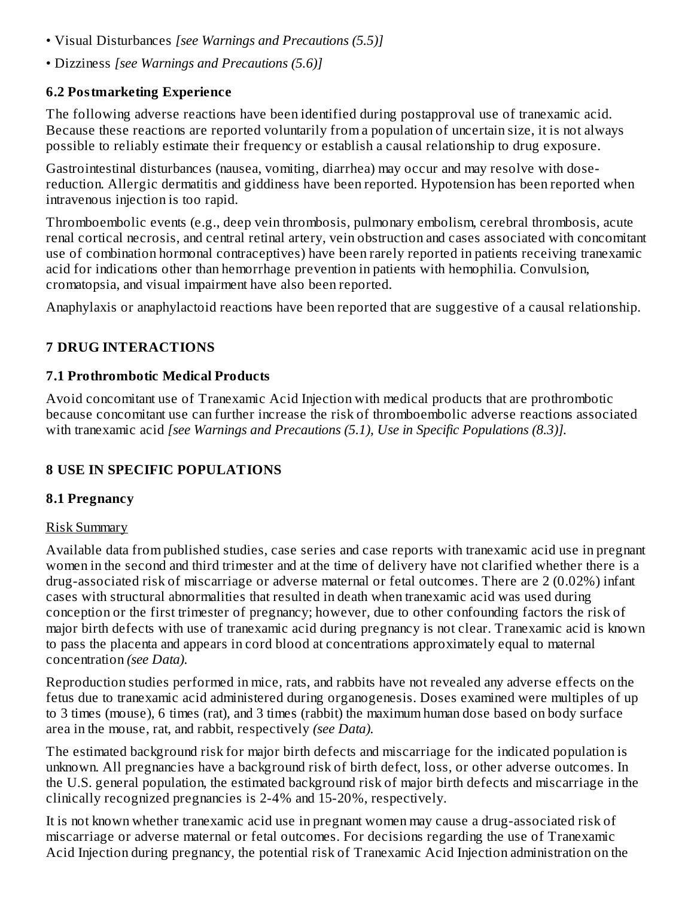- Visual Disturbances *[see Warnings and Precautions (5.5)]*
- Dizziness *[see Warnings and Precautions (5.6)]*

#### **6.2 Postmarketing Experience**

The following adverse reactions have been identified during postapproval use of tranexamic acid. Because these reactions are reported voluntarily from a population of uncertain size, it is not always possible to reliably estimate their frequency or establish a causal relationship to drug exposure.

Gastrointestinal disturbances (nausea, vomiting, diarrhea) may occur and may resolve with dosereduction. Allergic dermatitis and giddiness have been reported. Hypotension has been reported when intravenous injection is too rapid.

Thromboembolic events (e.g., deep vein thrombosis, pulmonary embolism, cerebral thrombosis, acute renal cortical necrosis, and central retinal artery, vein obstruction and cases associated with concomitant use of combination hormonal contraceptives) have been rarely reported in patients receiving tranexamic acid for indications other than hemorrhage prevention in patients with hemophilia. Convulsion, cromatopsia, and visual impairment have also been reported.

Anaphylaxis or anaphylactoid reactions have been reported that are suggestive of a causal relationship.

# **7 DRUG INTERACTIONS**

# **7.1 Prothrombotic Medical Products**

Avoid concomitant use of Tranexamic Acid Injection with medical products that are prothrombotic because concomitant use can further increase the risk of thromboembolic adverse reactions associated with tranexamic acid *[see Warnings and Precautions (5.1), Use in Specific Populations (8.3)].*

# **8 USE IN SPECIFIC POPULATIONS**

# **8.1 Pregnancy**

#### Risk Summary

Available data from published studies, case series and case reports with tranexamic acid use in pregnant women in the second and third trimester and at the time of delivery have not clarified whether there is a drug-associated risk of miscarriage or adverse maternal or fetal outcomes. There are 2 (0.02%) infant cases with structural abnormalities that resulted in death when tranexamic acid was used during conception or the first trimester of pregnancy; however, due to other confounding factors the risk of major birth defects with use of tranexamic acid during pregnancy is not clear. Tranexamic acid is known to pass the placenta and appears in cord blood at concentrations approximately equal to maternal concentration *(see Data).*

Reproduction studies performed in mice, rats, and rabbits have not revealed any adverse effects on the fetus due to tranexamic acid administered during organogenesis. Doses examined were multiples of up to 3 times (mouse), 6 times (rat), and 3 times (rabbit) the maximum human dose based on body surface area in the mouse, rat, and rabbit, respectively *(see Data).*

The estimated background risk for major birth defects and miscarriage for the indicated population is unknown. All pregnancies have a background risk of birth defect, loss, or other adverse outcomes. In the U.S. general population, the estimated background risk of major birth defects and miscarriage in the clinically recognized pregnancies is 2-4% and 15-20%, respectively.

It is not known whether tranexamic acid use in pregnant women may cause a drug-associated risk of miscarriage or adverse maternal or fetal outcomes. For decisions regarding the use of Tranexamic Acid Injection during pregnancy, the potential risk of Tranexamic Acid Injection administration on the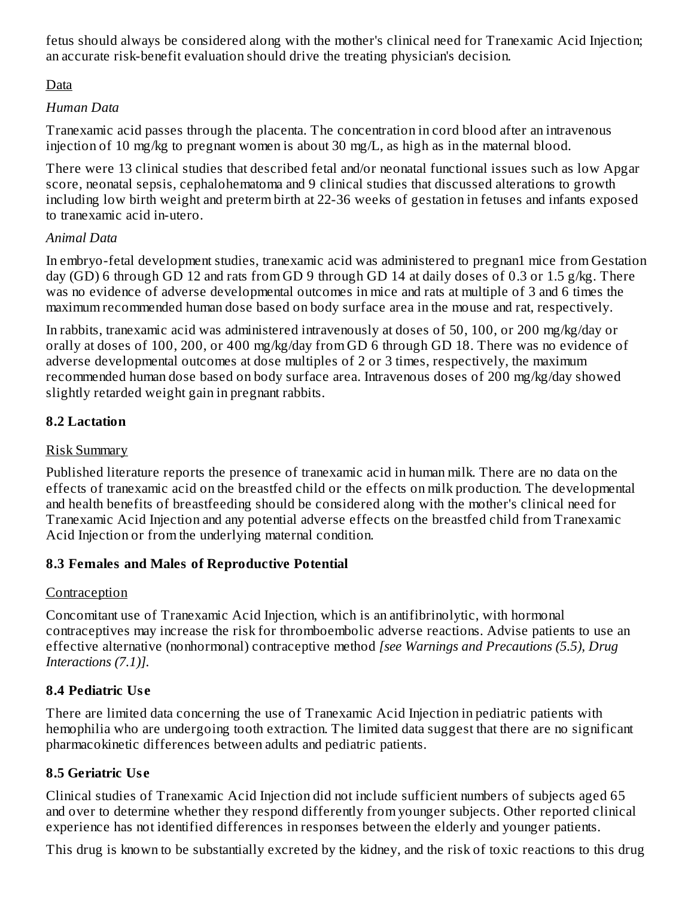fetus should always be considered along with the mother's clinical need for Tranexamic Acid Injection; an accurate risk-benefit evaluation should drive the treating physician's decision.

Data

# *Human Data*

Tranexamic acid passes through the placenta. The concentration in cord blood after an intravenous injection of 10 mg/kg to pregnant women is about 30 mg/L, as high as in the maternal blood.

There were 13 clinical studies that described fetal and/or neonatal functional issues such as low Apgar score, neonatal sepsis, cephalohematoma and 9 clinical studies that discussed alterations to growth including low birth weight and preterm birth at 22-36 weeks of gestation in fetuses and infants exposed to tranexamic acid in-utero.

# *Animal Data*

In embryo-fetal development studies, tranexamic acid was administered to pregnan1 mice from Gestation day (GD) 6 through GD 12 and rats from GD 9 through GD 14 at daily doses of 0.3 or 1.5 g/kg. There was no evidence of adverse developmental outcomes in mice and rats at multiple of 3 and 6 times the maximum recommended human dose based on body surface area in the mouse and rat, respectively.

In rabbits, tranexamic acid was administered intravenously at doses of 50, 100, or 200 mg/kg/day or orally at doses of 100, 200, or 400 mg/kg/day from GD 6 through GD 18. There was no evidence of adverse developmental outcomes at dose multiples of 2 or 3 times, respectively, the maximum recommended human dose based on body surface area. Intravenous doses of 200 mg/kg/day showed slightly retarded weight gain in pregnant rabbits.

# **8.2 Lactation**

# Risk Summary

Published literature reports the presence of tranexamic acid in human milk. There are no data on the effects of tranexamic acid on the breastfed child or the effects on milk production. The developmental and health benefits of breastfeeding should be considered along with the mother's clinical need for Tranexamic Acid Injection and any potential adverse effects on the breastfed child from Tranexamic Acid Injection or from the underlying maternal condition.

# **8.3 Females and Males of Reproductive Potential**

# **Contraception**

Concomitant use of Tranexamic Acid Injection, which is an antifibrinolytic, with hormonal contraceptives may increase the risk for thromboembolic adverse reactions. Advise patients to use an effective alternative (nonhormonal) contraceptive method *[see Warnings and Precautions (5.5), Drug Interactions (7.1)].*

# **8.4 Pediatric Us e**

There are limited data concerning the use of Tranexamic Acid Injection in pediatric patients with hemophilia who are undergoing tooth extraction. The limited data suggest that there are no significant pharmacokinetic differences between adults and pediatric patients.

# **8.5 Geriatric Us e**

Clinical studies of Tranexamic Acid Injection did not include sufficient numbers of subjects aged 65 and over to determine whether they respond differently from younger subjects. Other reported clinical experience has not identified differences in responses between the elderly and younger patients.

This drug is known to be substantially excreted by the kidney, and the risk of toxic reactions to this drug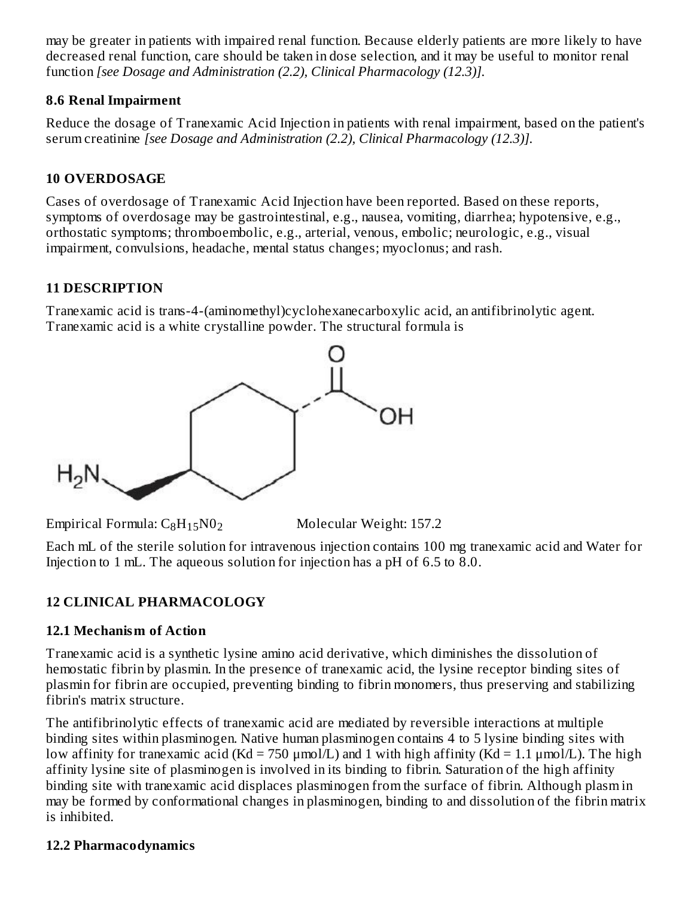may be greater in patients with impaired renal function. Because elderly patients are more likely to have decreased renal function, care should be taken in dose selection, and it may be useful to monitor renal function *[see Dosage and Administration (2.2), Clinical Pharmacology (12.3)].*

#### **8.6 Renal Impairment**

Reduce the dosage of Tranexamic Acid Injection in patients with renal impairment, based on the patient's serum creatinine *[see Dosage and Administration (2.2), Clinical Pharmacology (12.3)].*

# **10 OVERDOSAGE**

Cases of overdosage of Tranexamic Acid Injection have been reported. Based on these reports, symptoms of overdosage may be gastrointestinal, e.g., nausea, vomiting, diarrhea; hypotensive, e.g., orthostatic symptoms; thromboembolic, e.g., arterial, venous, embolic; neurologic, e.g., visual impairment, convulsions, headache, mental status changes; myoclonus; and rash.

# **11 DESCRIPTION**

Tranexamic acid is trans-4-(aminomethyl)cyclohexanecarboxylic acid, an antifibrinolytic agent. Tranexamic acid is a white crystalline powder. The structural formula is



Empirical Formula:  $C_8H_{15}N0_2$  Molecular Weight: 157.2

Each mL of the sterile solution for intravenous injection contains 100 mg tranexamic acid and Water for Injection to 1 mL. The aqueous solution for injection has a pH of 6.5 to 8.0.

# **12 CLINICAL PHARMACOLOGY**

# **12.1 Mechanism of Action**

Tranexamic acid is a synthetic lysine amino acid derivative, which diminishes the dissolution of hemostatic fibrin by plasmin. In the presence of tranexamic acid, the lysine receptor binding sites of plasmin for fibrin are occupied, preventing binding to fibrin monomers, thus preserving and stabilizing fibrin's matrix structure.

The antifibrinolytic effects of tranexamic acid are mediated by reversible interactions at multiple binding sites within plasminogen. Native human plasminogen contains 4 to 5 lysine binding sites with low affinity for tranexamic acid (Kd = 750  $\mu$ mol/L) and 1 with high affinity (Kd = 1.1  $\mu$ mol/L). The high affinity lysine site of plasminogen is involved in its binding to fibrin. Saturation of the high affinity binding site with tranexamic acid displaces plasminogen from the surface of fibrin. Although plasm in may be formed by conformational changes in plasminogen, binding to and dissolution of the fibrin matrix is inhibited.

# **12.2 Pharmacodynamics**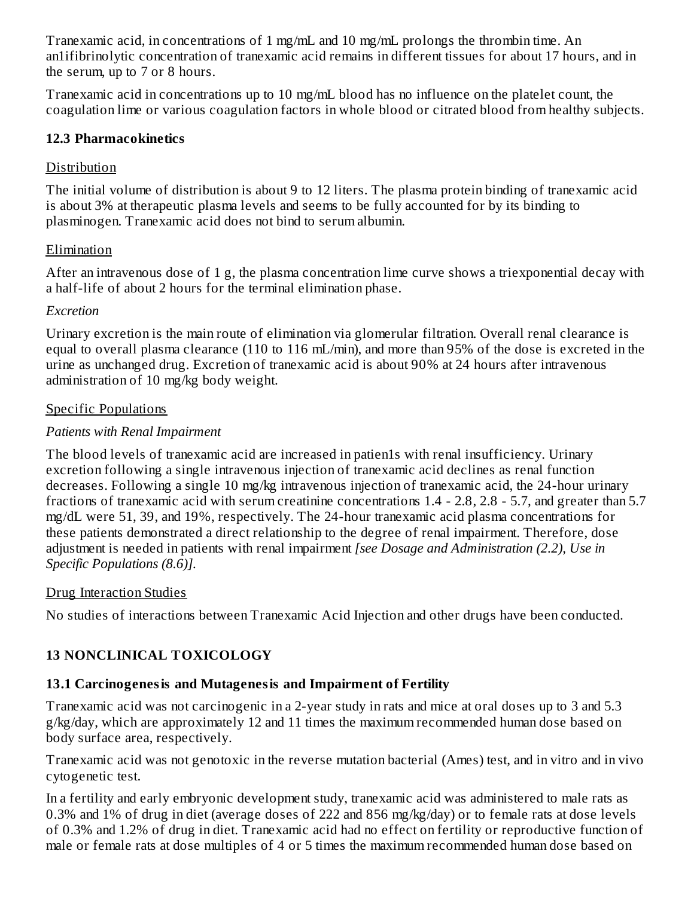Tranexamic acid, in concentrations of 1 mg/mL and 10 mg/mL prolongs the thrombin time. An an1ifibrinolytic concentration of tranexamic acid remains in different tissues for about 17 hours, and in the serum, up to 7 or 8 hours.

Tranexamic acid in concentrations up to 10 mg/mL blood has no influence on the platelet count, the coagulation lime or various coagulation factors in whole blood or citrated blood from healthy subjects.

#### **12.3 Pharmacokinetics**

# **Distribution**

The initial volume of distribution is about 9 to 12 liters. The plasma protein binding of tranexamic acid is about 3% at therapeutic plasma levels and seems to be fully accounted for by its binding to plasminogen. Tranexamic acid does not bind to serum albumin.

#### Elimination

After an intravenous dose of 1 g, the plasma concentration lime curve shows a triexponential decay with a half-life of about 2 hours for the terminal elimination phase.

#### *Excretion*

Urinary excretion is the main route of elimination via glomerular filtration. Overall renal clearance is equal to overall plasma clearance (110 to 116 mL/min), and more than 95% of the dose is excreted in the urine as unchanged drug. Excretion of tranexamic acid is about 90% at 24 hours after intravenous administration of 10 mg/kg body weight.

#### Specific Populations

# *Patients with Renal Impairment*

The blood levels of tranexamic acid are increased in patien1s with renal insufficiency. Urinary excretion following a single intravenous injection of tranexamic acid declines as renal function decreases. Following a single 10 mg/kg intravenous injection of tranexamic acid, the 24-hour urinary fractions of tranexamic acid with serum creatinine concentrations 1.4 - 2.8, 2.8 - 5.7, and greater than 5.7 mg/dL were 51, 39, and 19%, respectively. The 24-hour tranexamic acid plasma concentrations for these patients demonstrated a direct relationship to the degree of renal impairment. Therefore, dose adjustment is needed in patients with renal impairment *[see Dosage and Administration (2.2), Use in Specific Populations (8.6)].*

# Drug Interaction Studies

No studies of interactions between Tranexamic Acid Injection and other drugs have been conducted.

# **13 NONCLINICAL TOXICOLOGY**

# **13.1 Carcinogenesis and Mutagenesis and Impairment of Fertility**

Tranexamic acid was not carcinogenic in a 2-year study in rats and mice at oral doses up to 3 and 5.3 g/kg/day, which are approximately 12 and 11 times the maximum recommended human dose based on body surface area, respectively.

Tranexamic acid was not genotoxic in the reverse mutation bacterial (Ames) test, and in vitro and in vivo cytogenetic test.

In a fertility and early embryonic development study, tranexamic acid was administered to male rats as 0.3% and 1% of drug in diet (average doses of 222 and 856 mg/kg/day) or to female rats at dose levels of 0.3% and 1.2% of drug in diet. Tranexamic acid had no effect on fertility or reproductive function of male or female rats at dose multiples of 4 or 5 times the maximum recommended human dose based on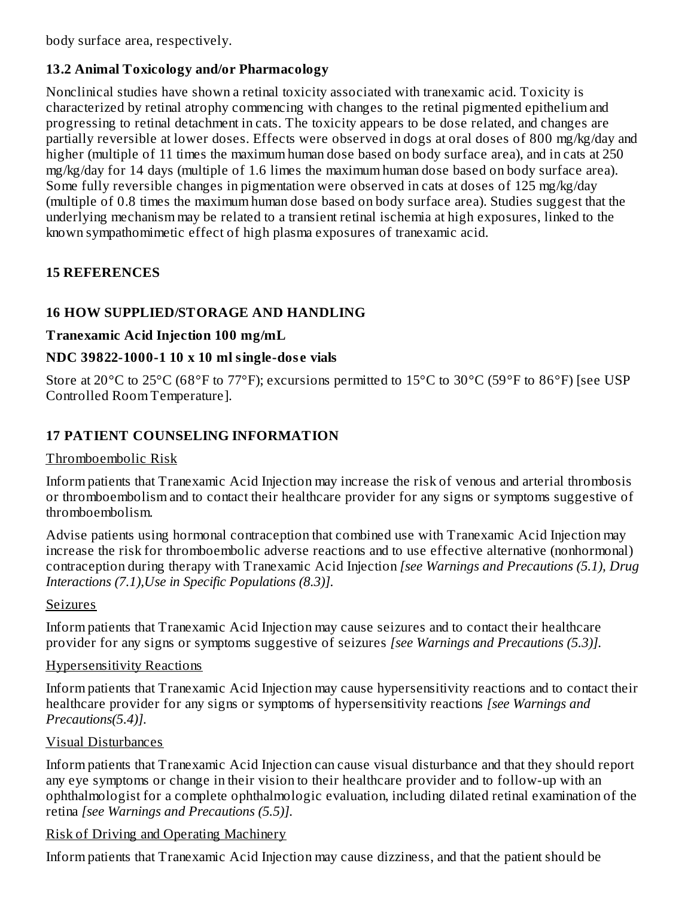body surface area, respectively.

### **13.2 Animal Toxicology and/or Pharmacology**

Nonclinical studies have shown a retinal toxicity associated with tranexamic acid. Toxicity is characterized by retinal atrophy commencing with changes to the retinal pigmented epithelium and progressing to retinal detachment in cats. The toxicity appears to be dose related, and changes are partially reversible at lower doses. Effects were observed in dogs at oral doses of 800 mg/kg/day and higher (multiple of 11 times the maximum human dose based on body surface area), and in cats at 250 mg/kg/day for 14 days (multiple of 1.6 limes the maximum human dose based on body surface area). Some fully reversible changes in pigmentation were observed in cats at doses of 125 mg/kg/day (multiple of 0.8 times the maximum human dose based on body surface area). Studies suggest that the underlying mechanism may be related to a transient retinal ischemia at high exposures, linked to the known sympathomimetic effect of high plasma exposures of tranexamic acid.

# **15 REFERENCES**

# **16 HOW SUPPLIED/STORAGE AND HANDLING**

#### **Tranexamic Acid Injection 100 mg/mL**

#### **NDC 39822-1000-1 10 x 10 ml single-dos e vials**

Store at 20°C to 25°C (68°F to 77°F); excursions permitted to 15°C to 30°C (59°F to 86°F) [see USP Controlled Room Temperature].

# **17 PATIENT COUNSELING INFORMATION**

#### Thromboembolic Risk

Inform patients that Tranexamic Acid Injection may increase the risk of venous and arterial thrombosis or thromboembolism and to contact their healthcare provider for any signs or symptoms suggestive of thromboembolism.

Advise patients using hormonal contraception that combined use with Tranexamic Acid Injection may increase the risk for thromboembolic adverse reactions and to use effective alternative (nonhormonal) contraception during therapy with Tranexamic Acid Injection *[see Warnings and Precautions (5.1), Drug Interactions (7.1),Use in Specific Populations (8.3)].*

#### Seizures

Inform patients that Tranexamic Acid Injection may cause seizures and to contact their healthcare provider for any signs or symptoms suggestive of seizures *[see Warnings and Precautions (5.3)].*

#### Hypersensitivity Reactions

Inform patients that Tranexamic Acid Injection may cause hypersensitivity reactions and to contact their healthcare provider for any signs or symptoms of hypersensitivity reactions *[see Warnings and Precautions(5.4)].*

#### Visual Disturbances

Inform patients that Tranexamic Acid Injection can cause visual disturbance and that they should report any eye symptoms or change in their vision to their healthcare provider and to follow-up with an ophthalmologist for a complete ophthalmologic evaluation, including dilated retinal examination of the retina *[see Warnings and Precautions (5.5)].*

#### Risk of Driving and Operating Machinery

Inform patients that Tranexamic Acid Injection may cause dizziness, and that the patient should be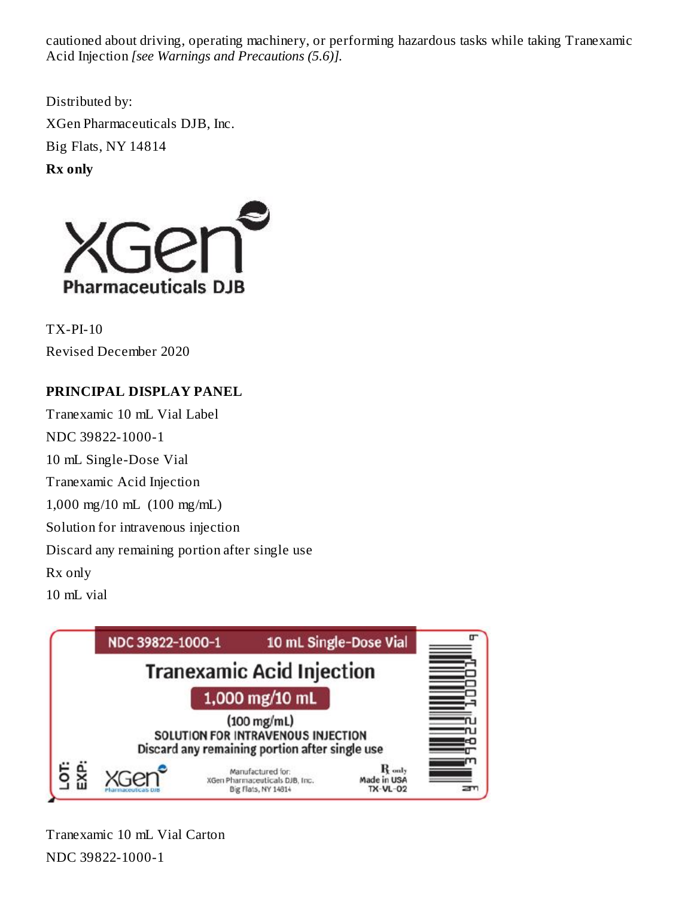cautioned about driving, operating machinery, or performing hazardous tasks while taking Tranexamic Acid Injection *[see Warnings and Precautions (5.6)].*

Distributed by: XGen Pharmaceuticals DJB, Inc. Big Flats, NY 14814

**Rx only**



TX-PI-10 Revised December 2020

# **PRINCIPAL DISPLAY PANEL**

Tranexamic 10 mL Vial Label NDC 39822-1000-1 10 mL Single-Dose Vial Tranexamic Acid Injection 1,000 mg/10 mL (100 mg/mL) Solution for intravenous injection Discard any remaining portion after single use Rx only  $10 \text{ m}$ . vial



Tranexamic 10 mL Vial Carton NDC 39822-1000-1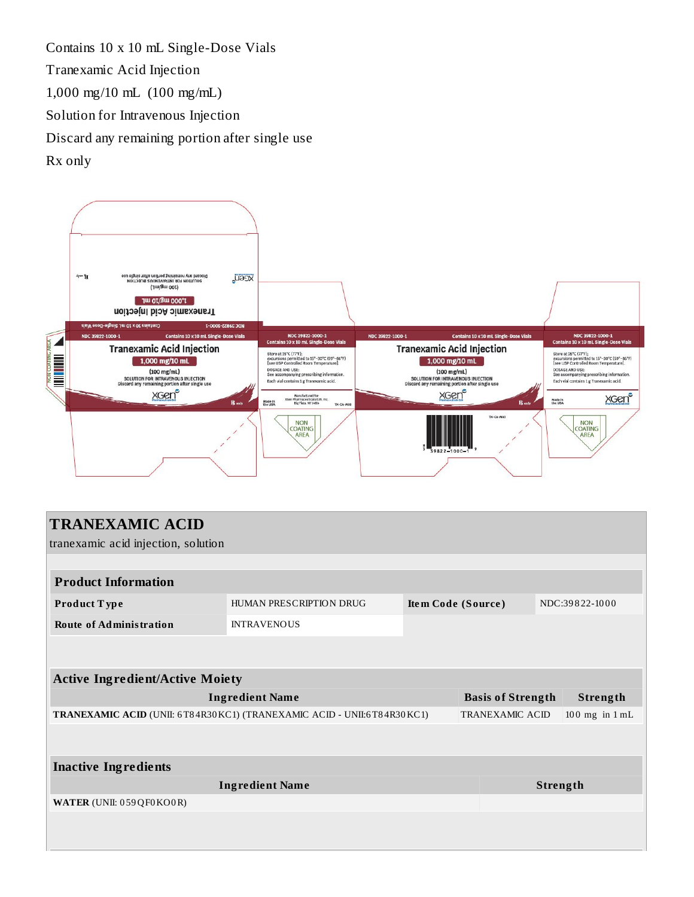Contains 10 x 10 mL Single-Dose Vials Tranexamic Acid Injection 1,000 mg/10 mL (100 mg/mL) Solution for Intravenous Injection Discard any remaining portion after single use Rx only



| <b>TRANEXAMIC ACID</b><br>tranexamic acid injection, solution          |                         |                    |                                              |                |  |  |  |  |
|------------------------------------------------------------------------|-------------------------|--------------------|----------------------------------------------|----------------|--|--|--|--|
|                                                                        |                         |                    |                                              |                |  |  |  |  |
| <b>Product Information</b>                                             |                         |                    |                                              |                |  |  |  |  |
| Product Type                                                           | HUMAN PRESCRIPTION DRUG | Item Code (Source) |                                              | NDC:39822-1000 |  |  |  |  |
| <b>Route of Administration</b>                                         | <b>INTRAVENOUS</b>      |                    |                                              |                |  |  |  |  |
|                                                                        |                         |                    |                                              |                |  |  |  |  |
| <b>Active Ingredient/Active Moiety</b>                                 |                         |                    |                                              |                |  |  |  |  |
| <b>Ingredient Name</b>                                                 |                         |                    | <b>Basis of Strength</b><br>Strength         |                |  |  |  |  |
| TRANEXAMIC ACID (UNII: 6T84R30KC1) (TRANEXAMIC ACID - UNII:6T84R30KC1) |                         |                    | $100$ mg in $1$ mL<br><b>TRANEXAMIC ACID</b> |                |  |  |  |  |
|                                                                        |                         |                    |                                              |                |  |  |  |  |
| <b>Inactive Ingredients</b>                                            |                         |                    |                                              |                |  |  |  |  |
| <b>Ingredient Name</b>                                                 |                         |                    | Strength                                     |                |  |  |  |  |
| WATER (UNII: 059QF0KO0R)                                               |                         |                    |                                              |                |  |  |  |  |
|                                                                        |                         |                    |                                              |                |  |  |  |  |
|                                                                        |                         |                    |                                              |                |  |  |  |  |